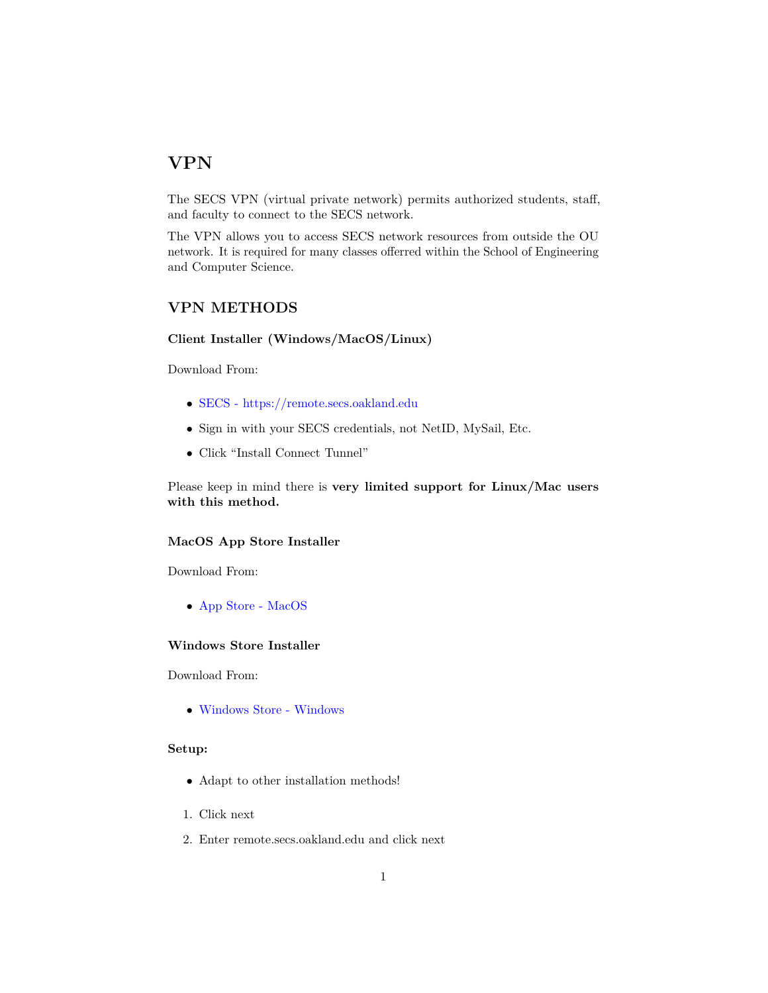# **VPN**

The SECS VPN (virtual private network) permits authorized students, staff, and faculty to connect to the SECS network.

The VPN allows you to access SECS network resources from outside the OU network. It is required for many classes offerred within the School of Engineering and Computer Science.

# **VPN METHODS**

## **Client Installer (Windows/MacOS/Linux)**

Download From:

- [SECS https://remote.secs.oakland.edu](https://remote.secs.oakland.edu)
- *•* Sign in with your SECS credentials, not NetID, MySail, Etc.
- *•* Click "Install Connect Tunnel"

Please keep in mind there is **very limited support for Linux/Mac users with this method.**

### **MacOS App Store Installer**

Download From:

*•* [App Store - MacOS](https://apps.apple.com/us/app/sonicwall-mobile-connect/id822514576)

#### **Windows Store Installer**

Download From:

*•* [Windows Store - Windows](https://www.microsoft.com/en-us/p/sonicwall-mobile-connect/9wzdncrdsfkz)

#### **Setup:**

- Adapt to other installation methods!
- 1. Click next
- 2. Enter remote.secs.oakland.edu and click next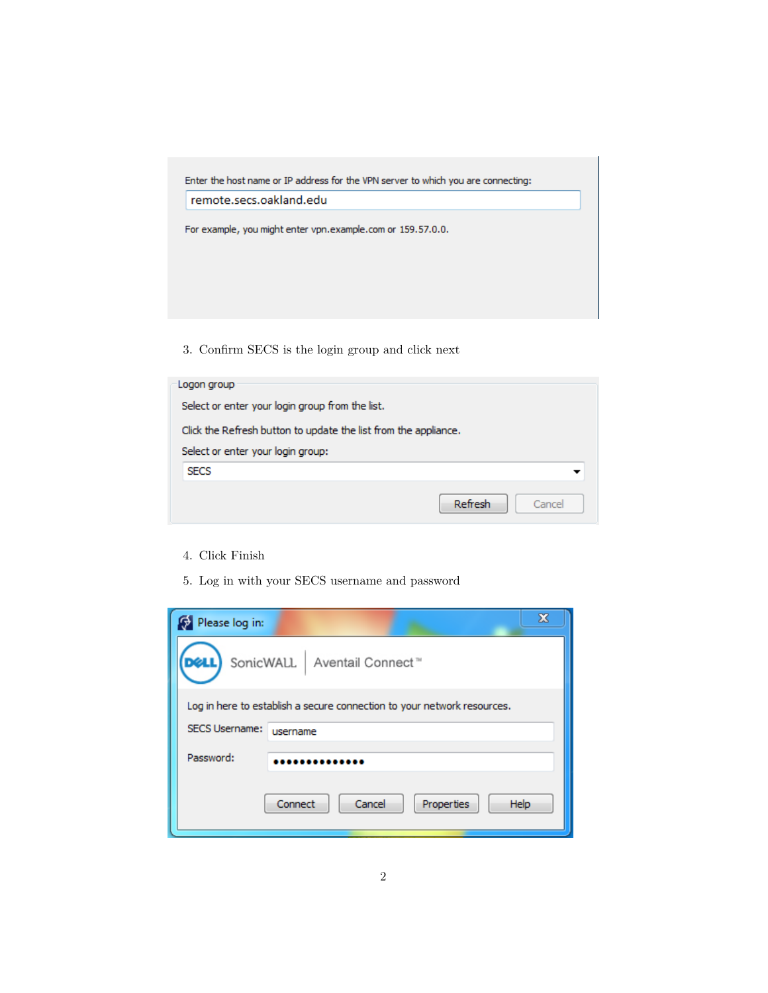Enter the host name or IP address for the VPN server to which you are connecting:

remote.secs.oakland.edu

For example, you might enter vpn.example.com or 159.57.0.0.

3. Confirm SECS is the login group and click next

| Logon group                                                     |                   |
|-----------------------------------------------------------------|-------------------|
| Select or enter your login group from the list.                 |                   |
| Click the Refresh button to update the list from the appliance. |                   |
| Select or enter your login group:                               |                   |
| <b>SECS</b>                                                     |                   |
|                                                                 | Refresh<br>Cancel |

- 4. Click Finish
- 5. Log in with your SECS username and password

| Please log in:                                                          |                                         | х |  |
|-------------------------------------------------------------------------|-----------------------------------------|---|--|
| 72                                                                      | SonicWALL   Aventail Connect™           |   |  |
| Log in here to establish a secure connection to your network resources. |                                         |   |  |
| <b>SECS Username:</b>                                                   | username                                |   |  |
| Password:                                                               |                                         |   |  |
|                                                                         | Cancel<br>Help<br>Connect<br>Properties |   |  |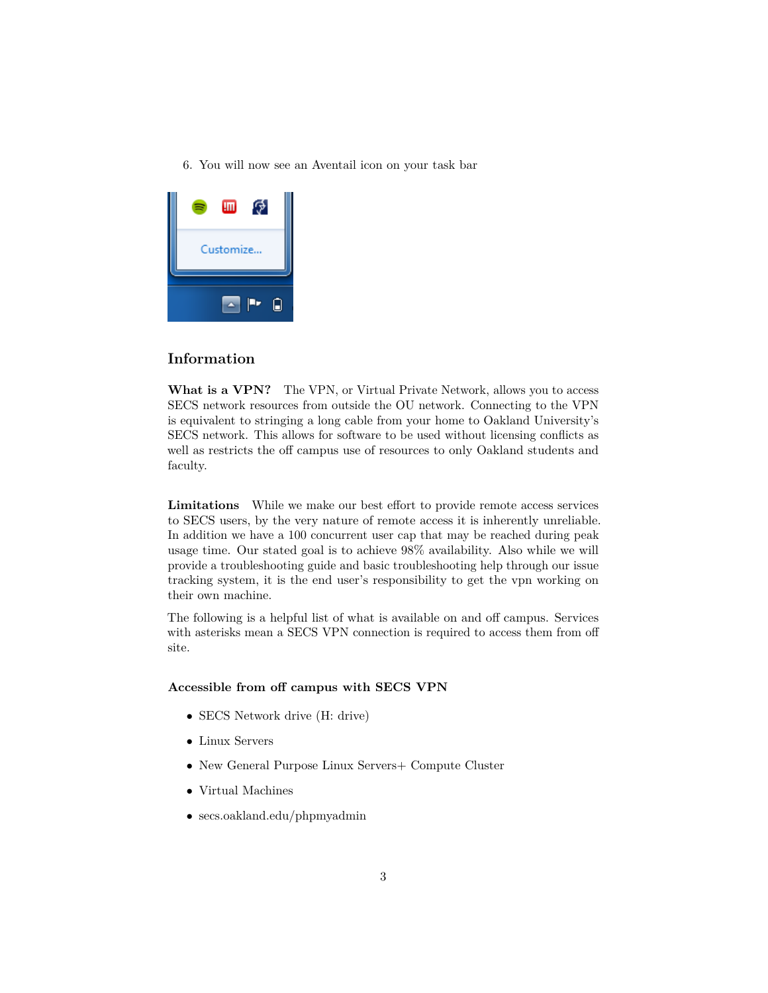6. You will now see an Aventail icon on your task bar



## **Information**

**What is a VPN?** The VPN, or Virtual Private Network, allows you to access SECS network resources from outside the OU network. Connecting to the VPN is equivalent to stringing a long cable from your home to Oakland University's SECS network. This allows for software to be used without licensing conflicts as well as restricts the off campus use of resources to only Oakland students and faculty.

**Limitations** While we make our best effort to provide remote access services to SECS users, by the very nature of remote access it is inherently unreliable. In addition we have a 100 concurrent user cap that may be reached during peak usage time. Our stated goal is to achieve 98% availability. Also while we will provide a troubleshooting guide and basic troubleshooting help through our issue tracking system, it is the end user's responsibility to get the vpn working on their own machine.

The following is a helpful list of what is available on and off campus. Services with asterisks mean a SECS VPN connection is required to access them from off site.

#### **Accessible from off campus with SECS VPN**

- *•* SECS Network drive (H: drive)
- *•* Linux Servers
- *•* New General Purpose Linux Servers+ Compute Cluster
- *•* Virtual Machines
- *•* secs.oakland.edu/phpmyadmin